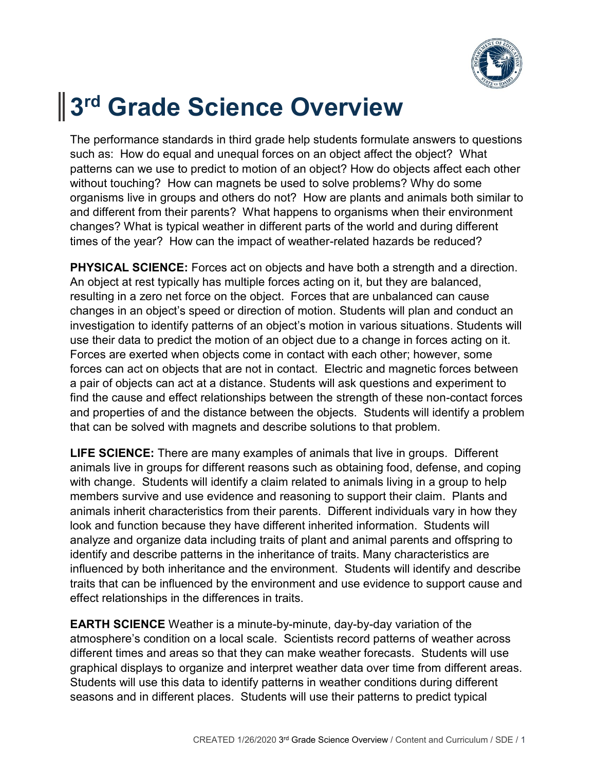

## **3 rd Grade Science Overview**

The performance standards in third grade help students formulate answers to questions such as: How do equal and unequal forces on an object affect the object? What patterns can we use to predict to motion of an object? How do objects affect each other without touching? How can magnets be used to solve problems? Why do some organisms live in groups and others do not? How are plants and animals both similar to and different from their parents? What happens to organisms when their environment changes? What is typical weather in different parts of the world and during different times of the year? How can the impact of weather-related hazards be reduced?

**PHYSICAL SCIENCE:** Forces act on objects and have both a strength and a direction. An object at rest typically has multiple forces acting on it, but they are balanced, resulting in a zero net force on the object. Forces that are unbalanced can cause changes in an object's speed or direction of motion. Students will plan and conduct an investigation to identify patterns of an object's motion in various situations. Students will use their data to predict the motion of an object due to a change in forces acting on it. Forces are exerted when objects come in contact with each other; however, some forces can act on objects that are not in contact. Electric and magnetic forces between a pair of objects can act at a distance. Students will ask questions and experiment to find the cause and effect relationships between the strength of these non-contact forces and properties of and the distance between the objects. Students will identify a problem that can be solved with magnets and describe solutions to that problem.

**LIFE SCIENCE:** There are many examples of animals that live in groups. Different animals live in groups for different reasons such as obtaining food, defense, and coping with change. Students will identify a claim related to animals living in a group to help members survive and use evidence and reasoning to support their claim. Plants and animals inherit characteristics from their parents. Different individuals vary in how they look and function because they have different inherited information. Students will analyze and organize data including traits of plant and animal parents and offspring to identify and describe patterns in the inheritance of traits. Many characteristics are influenced by both inheritance and the environment. Students will identify and describe traits that can be influenced by the environment and use evidence to support cause and effect relationships in the differences in traits.

**EARTH SCIENCE** Weather is a minute-by-minute, day-by-day variation of the atmosphere's condition on a local scale. Scientists record patterns of weather across different times and areas so that they can make weather forecasts. Students will use graphical displays to organize and interpret weather data over time from different areas. Students will use this data to identify patterns in weather conditions during different seasons and in different places. Students will use their patterns to predict typical